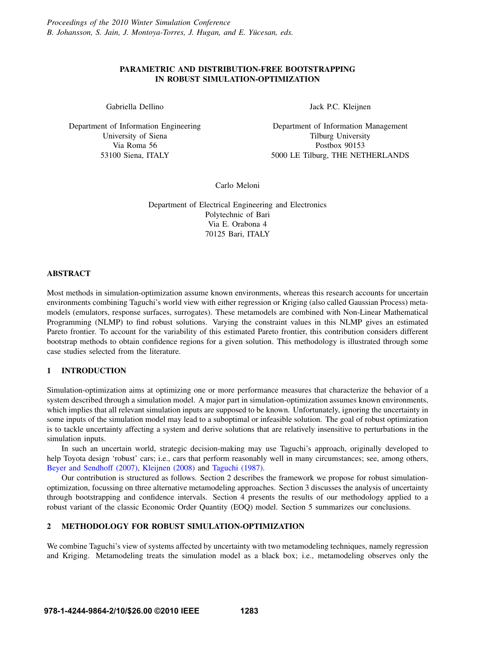# PARAMETRIC AND DISTRIBUTION-FREE BOOTSTRAPPING IN ROBUST SIMULATION-OPTIMIZATION

Gabriella Dellino

Department of Information Engineering University of Siena Via Roma 56 53100 Siena, ITALY

Jack P.C. Kleijnen

Department of Information Management Tilburg University Postbox 90153 5000 LE Tilburg, THE NETHERLANDS

Carlo Meloni

Department of Electrical Engineering and Electronics Polytechnic of Bari Via E. Orabona 4 70125 Bari, ITALY

# ABSTRACT

Most methods in simulation-optimization assume known environments, whereas this research accounts for uncertain environments combining Taguchi's world view with either regression or Kriging (also called Gaussian Process) metamodels (emulators, response surfaces, surrogates). These metamodels are combined with Non-Linear Mathematical Programming (NLMP) to find robust solutions. Varying the constraint values in this NLMP gives an estimated Pareto frontier. To account for the variability of this estimated Pareto frontier, this contribution considers different bootstrap methods to obtain confidence regions for a given solution. This methodology is illustrated through some case studies selected from the literature.

### 1 INTRODUCTION

Simulation-optimization aims at optimizing one or more performance measures that characterize the behavior of a system described through a simulation model. A major part in simulation-optimization assumes known environments, which implies that all relevant simulation inputs are supposed to be known. Unfortunately, ignoring the uncertainty in some inputs of the simulation model may lead to a suboptimal or infeasible solution. The goal of robust optimization is to tackle uncertainty affecting a system and derive solutions that are relatively insensitive to perturbations in the simulation inputs.

In such an uncertain world, strategic decision-making may use Taguchi's approach, originally developed to help Toyota design 'robust' cars; i.e., cars that perform reasonably well in many circumstances; see, among others, Beyer and Sendhoff (2007), Kleijnen (2008) and Taguchi (1987).

Our contribution is structured as follows. Section 2 describes the framework we propose for robust simulationoptimization, focussing on three alternative metamodeling approaches. Section 3 discusses the analysis of uncertainty through bootstrapping and confidence intervals. Section 4 presents the results of our methodology applied to a robust variant of the classic Economic Order Quantity (EOQ) model. Section 5 summarizes our conclusions.

### 2 METHODOLOGY FOR ROBUST SIMULATION-OPTIMIZATION

We combine Taguchi's view of systems affected by uncertainty with two metamodeling techniques, namely regression and Kriging. Metamodeling treats the simulation model as a black box; i.e., metamodeling observes only the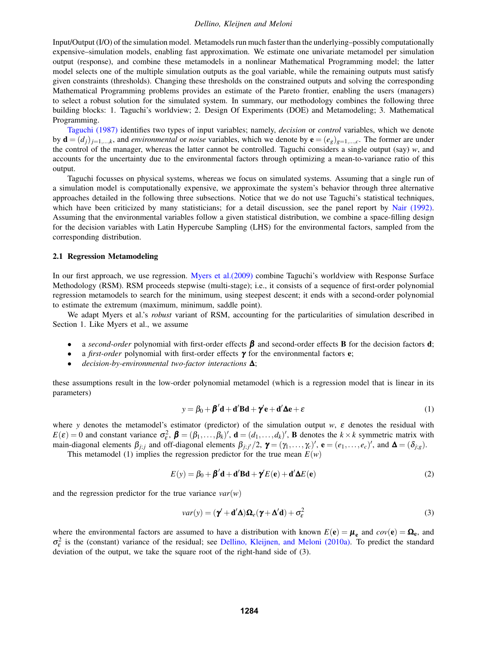### *Dellino, Kleijnen and Meloni*

Input/Output (I/O) of the simulation model. Metamodels run much faster than the underlying–possibly computationally expensive–simulation models, enabling fast approximation. We estimate one univariate metamodel per simulation output (response), and combine these metamodels in a nonlinear Mathematical Programming model; the latter model selects one of the multiple simulation outputs as the goal variable, while the remaining outputs must satisfy given constraints (thresholds). Changing these thresholds on the constrained outputs and solving the corresponding Mathematical Programming problems provides an estimate of the Pareto frontier, enabling the users (managers) to select a robust solution for the simulated system. In summary, our methodology combines the following three building blocks: 1. Taguchi's worldview; 2. Design Of Experiments (DOE) and Metamodeling; 3. Mathematical Programming.

Taguchi (1987) identifies two types of input variables; namely, *decision* or *control* variables, which we denote by  $\mathbf{d} = (d_i)_{i=1,\dots,k}$ , and *environmental* or *noise* variables, which we denote by  $\mathbf{e} = (e_g)_{g=1,\dots,c}$ . The former are under the control of the manager, whereas the latter cannot be controlled. Taguchi considers a single output (say) *w*, and accounts for the uncertainty due to the environmental factors through optimizing a mean-to-variance ratio of this output.

Taguchi focusses on physical systems, whereas we focus on simulated systems. Assuming that a single run of a simulation model is computationally expensive, we approximate the system's behavior through three alternative approaches detailed in the following three subsections. Notice that we do not use Taguchi's statistical techniques, which have been criticized by many statisticians; for a detail discussion, see the panel report by Nair (1992). Assuming that the environmental variables follow a given statistical distribution, we combine a space-filling design for the decision variables with Latin Hypercube Sampling (LHS) for the environmental factors, sampled from the corresponding distribution.

#### 2.1 Regression Metamodeling

In our first approach, we use regression. Myers et al.(2009) combine Taguchi's worldview with Response Surface Methodology (RSM). RSM proceeds stepwise (multi-stage); i.e., it consists of a sequence of first-order polynomial regression metamodels to search for the minimum, using steepest descent; it ends with a second-order polynomial to estimate the extremum (maximum, minimum, saddle point).

We adapt Myers et al.'s *robust* variant of RSM, accounting for the particularities of simulation described in Section 1. Like Myers et al., we assume

- a *second-order* polynomial with first-order effects  $\beta$  and second-order effects **B** for the decision factors **d**;
- a *first-order* polynomial with first-order effects γ for the environmental factors e;
- *decision-by-environmental two-factor interactions* ∆;

these assumptions result in the low-order polynomial metamodel (which is a regression model that is linear in its parameters)

$$
y = \beta_0 + \beta' d + d' B d + \gamma' e + d' \Delta e + \varepsilon
$$
 (1)

where *y* denotes the metamodel's estimator (predictor) of the simulation output *w*, ε denotes the residual with  $E(\varepsilon) = 0$  and constant variance  $\sigma_{\varepsilon}^2$ ,  $\boldsymbol{\beta} = (\beta_1, \dots, \beta_k)'$ ,  $\mathbf{d} = (d_1, \dots, d_k)'$ , **B** denotes the  $k \times k$  symmetric matrix with main-diagonal elements  $\beta_{j,j}$  and off-diagonal elements  $\beta_{j,j'}/2$ ,  $\boldsymbol{\gamma} = (\gamma_1,\ldots,\gamma_c)'$ ,  $\mathbf{e} = (e_1,\ldots,e_c)'$ , and  $\boldsymbol{\Delta} = (\delta_{j,g})$ .

This metamodel (1) implies the regression predictor for the true mean  $E(w)$ 

$$
E(y) = \beta_0 + \beta' d + d' B d + \gamma' E(e) + d' \Delta E(e)
$$
\n(2)

and the regression predictor for the true variance  $var(w)$ 

$$
var(y) = (\mathbf{\gamma}^{\prime} + \mathbf{d}^{\prime} \mathbf{\Delta}) \mathbf{\Omega}_e (\mathbf{\gamma} + \mathbf{\Delta}^{\prime} \mathbf{d}) + \sigma_\varepsilon^2
$$
\n(3)

where the environmental factors are assumed to have a distribution with known  $E(\mathbf{e}) = \mathbf{\mu}_{\mathbf{e}}$  and  $cov(\mathbf{e}) = \mathbf{\Omega}_{\mathbf{e}}$ , and  $\sigma_{\varepsilon}^2$  is the (constant) variance of the residual; see Dellino, Kleijnen, and Meloni (2010a). To predict the standard deviation of the output, we take the square root of the right-hand side of (3).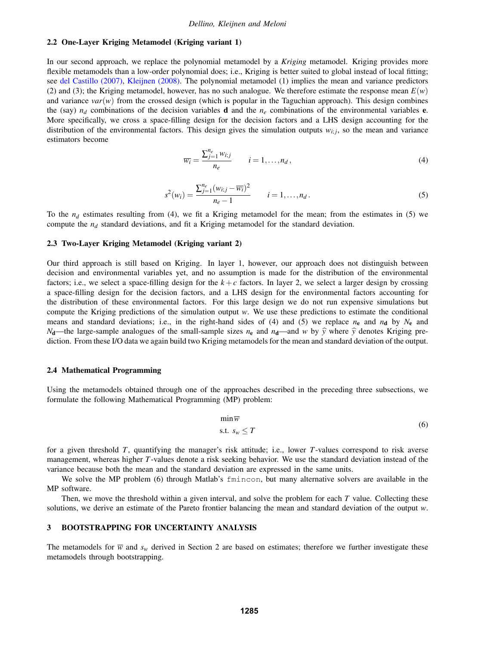#### 2.2 One-Layer Kriging Metamodel (Kriging variant 1)

In our second approach, we replace the polynomial metamodel by a *Kriging* metamodel. Kriging provides more flexible metamodels than a low-order polynomial does; i.e., Kriging is better suited to global instead of local fitting; see del Castillo (2007), Kleijnen (2008). The polynomial metamodel (1) implies the mean and variance predictors (2) and (3); the Kriging metamodel, however, has no such analogue. We therefore estimate the response mean  $E(w)$ and variance  $var(w)$  from the crossed design (which is popular in the Taguchian approach). This design combines the (say)  $n_d$  combinations of the decision variables **d** and the  $n_e$  combinations of the environmental variables **e**. More specifically, we cross a space-filling design for the decision factors and a LHS design accounting for the distribution of the environmental factors. This design gives the simulation outputs  $w_{i,j}$ , so the mean and variance estimators become

$$
\overline{w_i} = \frac{\sum_{j=1}^{n_e} w_{i,j}}{n_e} \qquad i = 1, \dots, n_d,
$$
\n(4)

$$
s^{2}(w_{i}) = \frac{\sum_{j=1}^{n_{e}} (w_{i:j} - \overline{w_{i}})^{2}}{n_{e} - 1} \qquad i = 1, ..., n_{d}.
$$
 (5)

To the  $n_d$  estimates resulting from (4), we fit a Kriging metamodel for the mean; from the estimates in (5) we compute the  $n_d$  standard deviations, and fit a Kriging metamodel for the standard deviation.

### 2.3 Two-Layer Kriging Metamodel (Kriging variant 2)

Our third approach is still based on Kriging. In layer 1, however, our approach does not distinguish between decision and environmental variables yet, and no assumption is made for the distribution of the environmental factors; i.e., we select a space-filling design for the  $k+c$  factors. In layer 2, we select a larger design by crossing a space-filling design for the decision factors, and a LHS design for the environmental factors accounting for the distribution of these environmental factors. For this large design we do not run expensive simulations but compute the Kriging predictions of the simulation output *w*. We use these predictions to estimate the conditional means and standard deviations; i.e., in the right-hand sides of (4) and (5) we replace  $n_e$  and  $n_d$  by  $N_e$  and *N*<sub>d</sub>—the large-sample analogues of the small-sample sizes  $n_e$  and  $n_d$ —and *w* by  $\hat{y}$  where  $\hat{y}$  denotes Kriging prediction. From these I/O data we again build two Kriging metamodels for the mean and standard deviation of the output.

### 2.4 Mathematical Programming

Using the metamodels obtained through one of the approaches described in the preceding three subsections, we formulate the following Mathematical Programming (MP) problem:

$$
\min \overline{w}
$$
\n
$$
\text{s.t. } s_w \le T
$$
\n<sup>(6)</sup>

for a given threshold *T*, quantifying the manager's risk attitude; i.e., lower *T*-values correspond to risk averse management, whereas higher *T*-values denote a risk seeking behavior. We use the standard deviation instead of the variance because both the mean and the standard deviation are expressed in the same units.

We solve the MP problem (6) through Matlab's finincon, but many alternative solvers are available in the MP software.

Then, we move the threshold within a given interval, and solve the problem for each *T* value. Collecting these solutions, we derive an estimate of the Pareto frontier balancing the mean and standard deviation of the output *w*.

### 3 BOOTSTRAPPING FOR UNCERTAINTY ANALYSIS

The metamodels for  $\overline{w}$  and  $s_w$  derived in Section 2 are based on estimates; therefore we further investigate these metamodels through bootstrapping.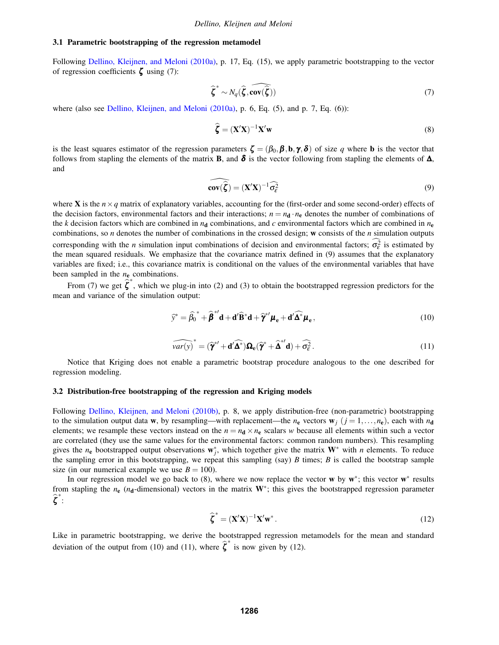#### 3.1 Parametric bootstrapping of the regression metamodel

Following Dellino, Kleijnen, and Meloni (2010a), p. 17, Eq. (15), we apply parametric bootstrapping to the vector of regression coefficients  $\zeta$  using (7):

$$
\widehat{\boldsymbol{\zeta}}^* \sim N_q(\widehat{\boldsymbol{\zeta}}, \widehat{\text{cov}(\widehat{\boldsymbol{\zeta}})})
$$
\n(7)

where (also see Dellino, Kleijnen, and Meloni (2010a), p. 6, Eq. (5), and p. 7, Eq. (6)):

$$
\widehat{\boldsymbol{\zeta}} = (\mathbf{X}'\mathbf{X})^{-1}\mathbf{X}'\mathbf{w}
$$
\n(8)

is the least squares estimator of the regression parameters  $\zeta = (\beta_0, \beta, b, \gamma, \delta)$  of size q where **b** is the vector that follows from stapling the elements of the matrix **B**, and  $\delta$  is the vector following from stapling the elements of  $\Delta$ , and

$$
\widehat{\mathbf{cov}(\hat{\boldsymbol{\zeta}})} = (\mathbf{X}'\mathbf{X})^{-1} \widehat{\sigma_{\varepsilon}^2}
$$
\n(9)

where **X** is the  $n \times q$  matrix of explanatory variables, accounting for the (first-order and some second-order) effects of the decision factors, environmental factors and their interactions;  $n = n_d \cdot n_e$  denotes the number of combinations of the *k* decision factors which are combined in  $n_d$  combinations, and *c* environmental factors which are combined in  $n_e$ combinations, so *n* denotes the number of combinations in the crossed design; w consists of the *n* simulation outputs corresponding with the *n* simulation input combinations of decision and environmental factors;  $\sigma_{\varepsilon}^2$  is estimated by the mean squared residuals. We emphasize that the covariance matrix defined in (9) assumes that the explanatory variables are fixed; i.e., this covariance matrix is conditional on the values of the environmental variables that have been sampled in the *n*<sup>e</sup> combinations.

From (7) we get  $\hat{\zeta}^*$ , which we plug-in into (2) and (3) to obtain the bootstrapped regression predictors for the mean and variance of the simulation output:

$$
\widehat{\mathbf{y}}^* = \widehat{\beta_0}^* + \widehat{\boldsymbol{\beta}}^{*'} \mathbf{d} + \mathbf{d}' \widehat{\mathbf{B}}^* \mathbf{d} + \widehat{\boldsymbol{\gamma}}^{*'} \boldsymbol{\mu}_e + \mathbf{d}' \widehat{\boldsymbol{\Delta}}^* \boldsymbol{\mu}_e, \qquad (10)
$$

$$
\widehat{var(y)}^* = (\widehat{\boldsymbol{\gamma}}^{*'} + \mathbf{d}' \widehat{\boldsymbol{\Delta}^*}) \mathbf{\Omega}_{\mathbf{e}} (\widehat{\boldsymbol{\gamma}}^* + \widehat{\boldsymbol{\Delta}}^{*'} \mathbf{d}) + \widehat{\sigma}_{\varepsilon}^2.
$$
\n(11)

Notice that Kriging does not enable a parametric bootstrap procedure analogous to the one described for regression modeling.

### 3.2 Distribution-free bootstrapping of the regression and Kriging models

Following Dellino, Kleijnen, and Meloni (2010b), p. 8, we apply distribution-free (non-parametric) bootstrapping to the simulation output data **w**, by resampling—with replacement—the  $n_e$  vectors  $\mathbf{w}_i$  ( $j = 1, \ldots, n_e$ ), each with  $n_d$ elements; we resample these vectors instead on the  $n = n_d \times n_e$  scalars *w* because all elements within such a vector are correlated (they use the same values for the environmental factors: common random numbers). This resampling gives the  $n_e$  bootstrapped output observations  $w_j^*$ , which together give the matrix  $W^*$  with  $n$  elements. To reduce the sampling error in this bootstrapping, we repeat this sampling (say) *B* times; *B* is called the bootstrap sample size (in our numerical example we use  $B = 100$ ).

In our regression model we go back to (8), where we now replace the vector w by  $w^*$ ; this vector  $w^*$  results from stapling the  $n_e$  ( $n_d$ -dimensional) vectors in the matrix  $W^*$ ; this gives the bootstrapped regression parameter  $\widehat{\zeta}^*$  :

$$
\widehat{\boldsymbol{\zeta}}^* = (\mathbf{X}'\mathbf{X})^{-1}\mathbf{X}'\mathbf{w}^* \,. \tag{12}
$$

Like in parametric bootstrapping, we derive the bootstrapped regression metamodels for the mean and standard deviation of the output from (10) and (11), where  $\hat{\zeta}^*$  is now given by (12).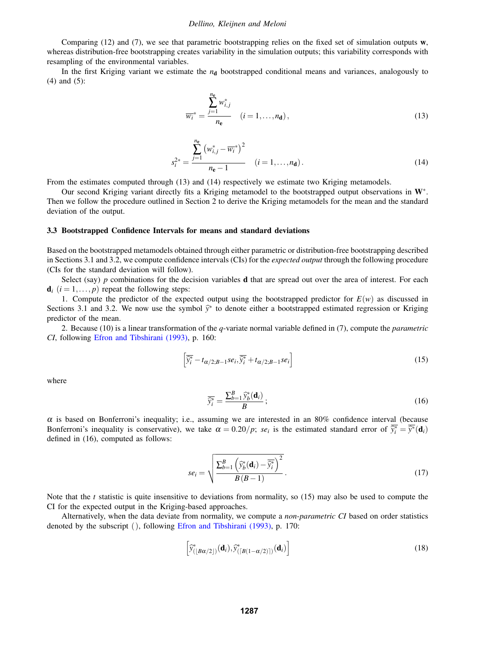### *Dellino, Kleijnen and Meloni*

Comparing (12) and (7), we see that parametric bootstrapping relies on the fixed set of simulation outputs  $w$ , whereas distribution-free bootstrapping creates variability in the simulation outputs; this variability corresponds with resampling of the environmental variables.

In the first Kriging variant we estimate the  $n_d$  bootstrapped conditional means and variances, analogously to (4) and (5):

$$
\overline{w_i}^* = \frac{\sum_{j=1}^{n_e} w_{i,j}^*}{n_e} \quad (i = 1, \dots, n_d),
$$
\n(13)

$$
s_i^{2*} = \frac{\sum_{j=1}^{n_e} (w_{i,j}^* - \overline{w_i}^*)^2}{n_e - 1} \quad (i = 1, ..., n_d).
$$
 (14)

From the estimates computed through (13) and (14) respectively we estimate two Kriging metamodels.

Our second Kriging variant directly fits a Kriging metamodel to the bootstrapped output observations in W∗. Then we follow the procedure outlined in Section 2 to derive the Kriging metamodels for the mean and the standard deviation of the output.

#### 3.3 Bootstrapped Confidence Intervals for means and standard deviations

Based on the bootstrapped metamodels obtained through either parametric or distribution-free bootstrapping described in Sections 3.1 and 3.2, we compute confidence intervals (CIs) for the *expected output* through the following procedure (CIs for the standard deviation will follow).

Select (say)  $p$  combinations for the decision variables **d** that are spread out over the area of interest. For each  $\mathbf{d}_i$  ( $i = 1, \ldots, p$ ) repeat the following steps:

1. Compute the predictor of the expected output using the bootstrapped predictor for  $E(w)$  as discussed in Sections 3.1 and 3.2. We now use the symbol  $\hat{y}^*$  to denote either a bootstrapped estimated regression or Kriging predictor of the mean.

2. Because (10) is a linear transformation of the *q*-variate normal variable defined in (7), compute the *parametric CI*, following Efron and Tibshirani (1993), p. 160:

$$
\left[\overline{\hat{y}_i^*} - t_{\alpha/2; B-1} s e_i, \overline{\hat{y}_i^*} + t_{\alpha/2; B-1} s e_i\right]
$$
\n(15)

where

$$
\overline{\widehat{y}_i^*} = \frac{\sum_{b=1}^B \widehat{y}_b^*(\mathbf{d}_i)}{B};\tag{16}
$$

 $\alpha$  is based on Bonferroni's inequality; i.e., assuming we are interested in an 80% confidence interval (because Bonferroni's inequality is conservative), we take  $\alpha = 0.20/p$ ; *se<sub>i</sub>* is the estimated standard error of  $\overline{\hat{y}_i^*} = \overline{\hat{y}^*}(\mathbf{d}_i)$ defined in (16), computed as follows:

$$
se_i = \sqrt{\frac{\sum_{b=1}^{B} \left(\widehat{y}_b^*(\mathbf{d}_i) - \overline{\widehat{y}_i^*}\right)^2}{B\left(B - 1\right)}}.
$$
\n(17)

Note that the *t* statistic is quite insensitive to deviations from normality, so (15) may also be used to compute the CI for the expected output in the Kriging-based approaches.

Alternatively, when the data deviate from normality, we compute a *non-parametric CI* based on order statistics denoted by the subscript ( ), following Efron and Tibshirani (1993), p. 170:

$$
\left[\widetilde{\mathcal{Y}}_{\left(\left[\mathcal{B}\alpha/2\right]\right)}^{*}(\mathbf{d}_{i}),\widetilde{\mathcal{Y}}_{\left(\left[\mathcal{B}\left(1-\alpha/2\right)\right]\right)}^{*}(\mathbf{d}_{i})\right]
$$
\n(18)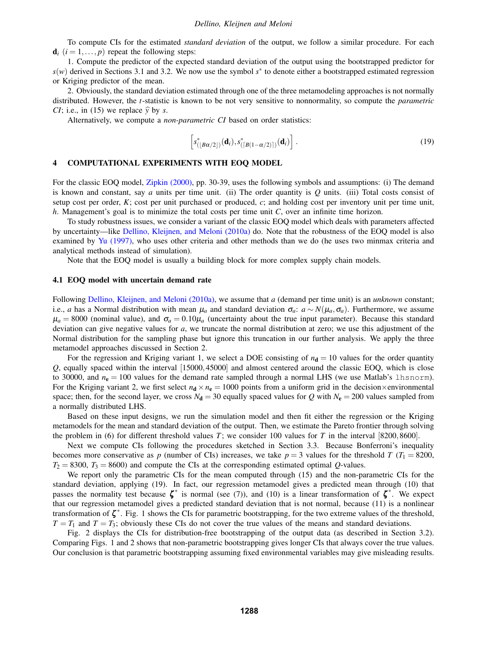To compute CIs for the estimated *standard deviation* of the output, we follow a similar procedure. For each  $\mathbf{d}_i$  ( $i = 1, \ldots, p$ ) repeat the following steps:

1. Compute the predictor of the expected standard deviation of the output using the bootstrapped predictor for *s*(*w*) derived in Sections 3.1 and 3.2. We now use the symbol *s*<sup>∗</sup> to denote either a bootstrapped estimated regression or Kriging predictor of the mean.

2. Obviously, the standard deviation estimated through one of the three metamodeling approaches is not normally distributed. However, the *t*-statistic is known to be not very sensitive to nonnormality, so compute the *parametric CI*; i.e., in (15) we replace  $\hat{y}$  by *s*.

Alternatively, we compute a *non-parametric CI* based on order statistics:

$$
\[s^*_{([B\alpha/2])}(\mathbf{d}_i), s^*_{([B(1-\alpha/2)])}(\mathbf{d}_i)\].
$$
\n(19)

#### 4 COMPUTATIONAL EXPERIMENTS WITH EOQ MODEL

For the classic EOQ model, Zipkin (2000), pp. 30-39, uses the following symbols and assumptions: (i) The demand is known and constant, say *a* units per time unit. (ii) The order quantity is *Q* units. (iii) Total costs consist of setup cost per order, *K*; cost per unit purchased or produced, *c*; and holding cost per inventory unit per time unit, *h*. Management's goal is to minimize the total costs per time unit *C*, over an infinite time horizon.

To study robustness issues, we consider a variant of the classic EOQ model which deals with parameters affected by uncertainty—like Dellino, Kleijnen, and Meloni (2010a) do. Note that the robustness of the EOQ model is also examined by Yu (1997), who uses other criteria and other methods than we do (he uses two minmax criteria and analytical methods instead of simulation).

Note that the EOQ model is usually a building block for more complex supply chain models.

### 4.1 EOQ model with uncertain demand rate

Following Dellino, Kleijnen, and Meloni (2010a), we assume that *a* (demand per time unit) is an *unknown* constant; i.e., *a* has a Normal distribution with mean  $\mu_a$  and standard deviation  $\sigma_a$ :  $a \sim N(\mu_a, \sigma_a)$ . Furthermore, we assume  $\mu_a = 8000$  (nominal value), and  $\sigma_a = 0.10\mu_a$  (uncertainty about the true input parameter). Because this standard deviation can give negative values for *a*, we truncate the normal distribution at zero; we use this adjustment of the Normal distribution for the sampling phase but ignore this truncation in our further analysis. We apply the three metamodel approaches discussed in Section 2.

For the regression and Kriging variant 1, we select a DOE consisting of  $n_d = 10$  values for the order quantity *Q*, equally spaced within the interval [15000,45000] and almost centered around the classic EOQ, which is close to 30000, and  $n_e = 100$  values for the demand rate sampled through a normal LHS (we use Matlab's 1hsnorm). For the Kriging variant 2, we first select  $n_d \times n_e = 1000$  points from a uniform grid in the decision×environmental space; then, for the second layer, we cross  $N_d = 30$  equally spaced values for *Q* with  $N_e = 200$  values sampled from a normally distributed LHS.

Based on these input designs, we run the simulation model and then fit either the regression or the Kriging metamodels for the mean and standard deviation of the output. Then, we estimate the Pareto frontier through solving the problem in (6) for different threshold values *T*; we consider 100 values for *T* in the interval  $[8200,8600]$ .

Next we compute CIs following the procedures sketched in Section 3.3. Because Bonferroni's inequality becomes more conservative as p (number of CIs) increases, we take  $p = 3$  values for the threshold T ( $T_1 = 8200$ ,  $T_2 = 8300$ ,  $T_3 = 8600$ ) and compute the CIs at the corresponding estimated optimal *Q*-values.

We report only the parametric CIs for the mean computed through (15) and the non-parametric CIs for the standard deviation, applying (19). In fact, our regression metamodel gives a predicted mean through (10) that passes the normality test because  $\zeta^*$  is normal (see (7)), and (10) is a linear transformation of  $\zeta^*$ . We expect that our regression metamodel gives a predicted standard deviation that is not normal, because (11) is a nonlinear transformation of  $\zeta^*$ . Fig. 1 shows the CIs for parametric bootstrapping, for the two extreme values of the threshold,  $T = T_1$  and  $T = T_3$ ; obviously these CIs do not cover the true values of the means and standard deviations.

Fig. 2 displays the CIs for distribution-free bootstrapping of the output data (as described in Section 3.2). Comparing Figs. 1 and 2 shows that non-parametric bootstrapping gives longer CIs that always cover the true values. Our conclusion is that parametric bootstrapping assuming fixed environmental variables may give misleading results.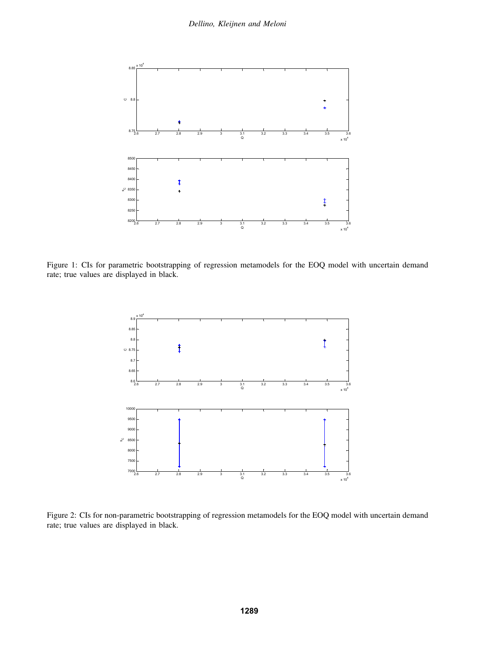

Figure 1: CIs for parametric bootstrapping of regression metamodels for the EOQ model with uncertain demand rate; true values are displayed in black.



Figure 2: CIs for non-parametric bootstrapping of regression metamodels for the EOQ model with uncertain demand rate; true values are displayed in black.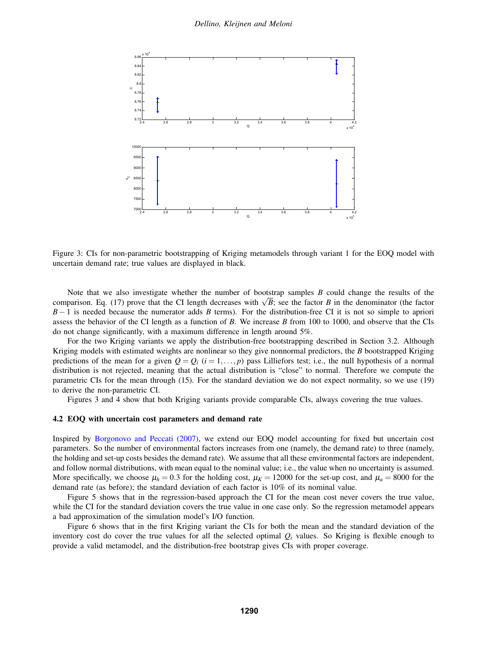

Figure 3: CIs for non-parametric bootstrapping of Kriging metamodels through variant 1 for the EOQ model with uncertain demand rate; true values are displayed in black.

Note that we also investigate whether the number of bootstrap samples *B* could change the results of the comparison. Eq. (17) prove that the CI length decreases with  $\sqrt{B}$ ; see the factor *B* in the denominator (the factor *B*−1 is needed because the numerator adds *B* terms). For the distribution-free CI it is not so simple to apriori assess the behavior of the CI length as a function of *B*. We increase *B* from 100 to 1000, and observe that the CIs do not change significantly, with a maximum difference in length around 5%.

For the two Kriging variants we apply the distribution-free bootstrapping described in Section 3.2. Although Kriging models with estimated weights are nonlinear so they give nonnormal predictors, the *B* bootstrapped Kriging predictions of the mean for a given  $Q = Q_i$  ( $i = 1, \ldots, p$ ) pass Lilliefors test; i.e., the null hypothesis of a normal distribution is not rejected, meaning that the actual distribution is "close" to normal. Therefore we compute the parametric CIs for the mean through (15). For the standard deviation we do not expect normality, so we use (19) to derive the non-parametric CI.

Figures 3 and 4 show that both Kriging variants provide comparable CIs, always covering the true values.

#### 4.2 EOQ with uncertain cost parameters and demand rate

Inspired by Borgonovo and Peccati (2007), we extend our EOQ model accounting for fixed but uncertain cost parameters. So the number of environmental factors increases from one (namely, the demand rate) to three (namely, the holding and set-up costs besides the demand rate). We assume that all these environmental factors are independent, and follow normal distributions, with mean equal to the nominal value; i.e., the value when no uncertainty is assumed. More specifically, we choose  $\mu_h = 0.3$  for the holding cost,  $\mu_K = 12000$  for the set-up cost, and  $\mu_a = 8000$  for the demand rate (as before); the standard deviation of each factor is 10% of its nominal value.

Figure 5 shows that in the regression-based approach the CI for the mean cost never covers the true value, while the CI for the standard deviation covers the true value in one case only. So the regression metamodel appears a bad approximation of the simulation model's I/O function.

Figure 6 shows that in the first Kriging variant the CIs for both the mean and the standard deviation of the inventory cost do cover the true values for all the selected optimal  $Q_i$  values. So Kriging is flexible enough to provide a valid metamodel, and the distribution-free bootstrap gives CIs with proper coverage.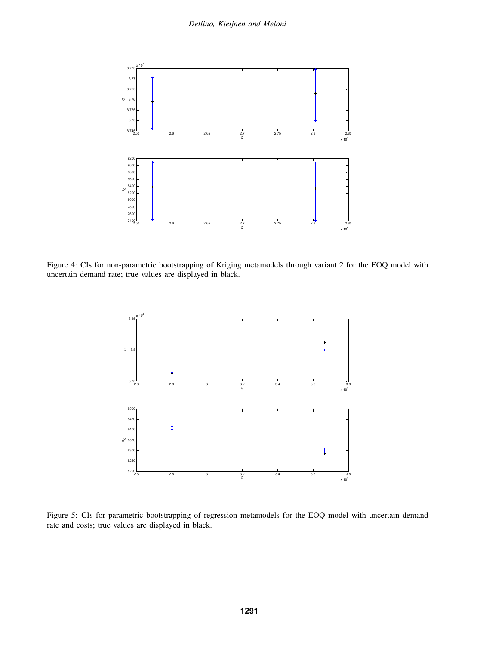

Figure 4: CIs for non-parametric bootstrapping of Kriging metamodels through variant 2 for the EOQ model with uncertain demand rate; true values are displayed in black.



Figure 5: CIs for parametric bootstrapping of regression metamodels for the EOQ model with uncertain demand rate and costs; true values are displayed in black.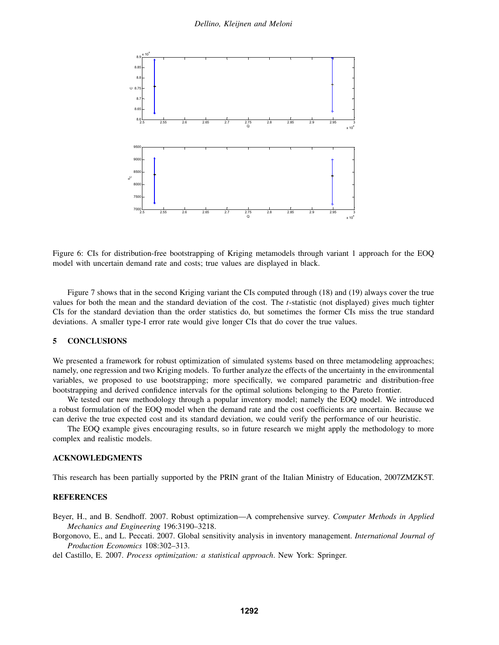

Figure 6: CIs for distribution-free bootstrapping of Kriging metamodels through variant 1 approach for the EOQ model with uncertain demand rate and costs; true values are displayed in black.

Figure 7 shows that in the second Kriging variant the CIs computed through (18) and (19) always cover the true values for both the mean and the standard deviation of the cost. The *t*-statistic (not displayed) gives much tighter CIs for the standard deviation than the order statistics do, but sometimes the former CIs miss the true standard deviations. A smaller type-I error rate would give longer CIs that do cover the true values.

### 5 CONCLUSIONS

We presented a framework for robust optimization of simulated systems based on three metamodeling approaches; namely, one regression and two Kriging models. To further analyze the effects of the uncertainty in the environmental variables, we proposed to use bootstrapping; more specifically, we compared parametric and distribution-free bootstrapping and derived confidence intervals for the optimal solutions belonging to the Pareto frontier.

We tested our new methodology through a popular inventory model; namely the EOQ model. We introduced a robust formulation of the EOQ model when the demand rate and the cost coefficients are uncertain. Because we can derive the true expected cost and its standard deviation, we could verify the performance of our heuristic.

The EOQ example gives encouraging results, so in future research we might apply the methodology to more complex and realistic models.

### ACKNOWLEDGMENTS

This research has been partially supported by the PRIN grant of the Italian Ministry of Education, 2007ZMZK5T.

## **REFERENCES**

Beyer, H., and B. Sendhoff. 2007. Robust optimization—A comprehensive survey. *Computer Methods in Applied Mechanics and Engineering* 196:3190–3218.

Borgonovo, E., and L. Peccati. 2007. Global sensitivity analysis in inventory management. *International Journal of Production Economics* 108:302–313.

del Castillo, E. 2007. *Process optimization: a statistical approach*. New York: Springer.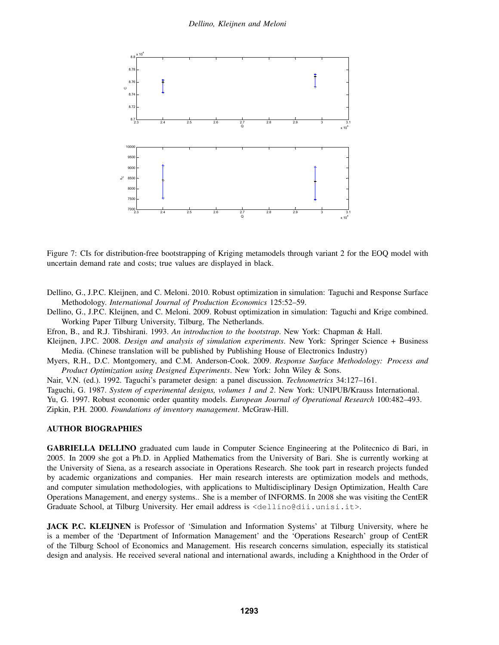

Figure 7: CIs for distribution-free bootstrapping of Kriging metamodels through variant 2 for the EOQ model with uncertain demand rate and costs; true values are displayed in black.

Dellino, G., J.P.C. Kleijnen, and C. Meloni. 2010. Robust optimization in simulation: Taguchi and Response Surface Methodology. *International Journal of Production Economics* 125:52–59.

Dellino, G., J.P.C. Kleijnen, and C. Meloni. 2009. Robust optimization in simulation: Taguchi and Krige combined. Working Paper Tilburg University, Tilburg, The Netherlands.

Efron, B., and R.J. Tibshirani. 1993. *An introduction to the bootstrap*. New York: Chapman & Hall.

Kleijnen, J.P.C. 2008. *Design and analysis of simulation experiments*. New York: Springer Science + Business Media. (Chinese translation will be published by Publishing House of Electronics Industry)

Myers, R.H., D.C. Montgomery, and C.M. Anderson-Cook. 2009. *Response Surface Methodology: Process and Product Optimization using Designed Experiments*. New York: John Wiley & Sons.

Nair, V.N. (ed.). 1992. Taguchi's parameter design: a panel discussion. *Technometrics* 34:127–161.

Taguchi, G. 1987. *System of experimental designs, volumes 1 and 2*. New York: UNIPUB/Krauss International.

Yu, G. 1997. Robust economic order quantity models. *European Journal of Operational Research* 100:482–493. Zipkin, P.H. 2000. *Foundations of inventory management*. McGraw-Hill.

### AUTHOR BIOGRAPHIES

GABRIELLA DELLINO graduated cum laude in Computer Science Engineering at the Politecnico di Bari, in 2005. In 2009 she got a Ph.D. in Applied Mathematics from the University of Bari. She is currently working at the University of Siena, as a research associate in Operations Research. She took part in research projects funded by academic organizations and companies. Her main research interests are optimization models and methods, and computer simulation methodologies, with applications to Multidisciplinary Design Optimization, Health Care Operations Management, and energy systems.. She is a member of INFORMS. In 2008 she was visiting the CentER Graduate School, at Tilburg University. Her email address is <dellino@dii.unisi.it>.

JACK P.C. KLEIJNEN is Professor of 'Simulation and Information Systems' at Tilburg University, where he is a member of the 'Department of Information Management' and the 'Operations Research' group of CentER of the Tilburg School of Economics and Management. His research concerns simulation, especially its statistical design and analysis. He received several national and international awards, including a Knighthood in the Order of